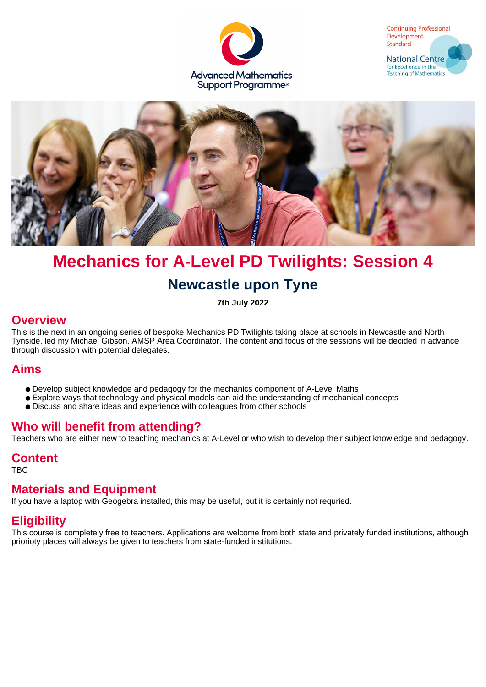





# **Mechanics for A-Level PD Twilights: Session 4**

# **Newcastle upon Tyne**

**7th July 2022**

### **Overview**

This is the next in an ongoing series of bespoke Mechanics PD Twilights taking place at schools in Newcastle and North Tynside, led my Michael Gibson, AMSP Area Coordinator. The content and focus of the sessions will be decided in advance through discussion with potential delegates.

## **Aims**

- Develop subject knowledge and pedagogy for the mechanics component of A-Level Maths
- Explore ways that technology and physical models can aid the understanding of mechanical concepts
- Discuss and share ideas and experience with colleagues from other schools

## **Who will benefit from attending?**

Teachers who are either new to teaching mechanics at A-Level or who wish to develop their subject knowledge and pedagogy.

#### **Content**

TBC

## **Materials and Equipment**

If you have a laptop with Geogebra installed, this may be useful, but it is certainly not requried.

# **Eligibility**

This course is completely free to teachers. Applications are welcome from both state and privately funded institutions, although priorioty places will always be given to teachers from state-funded institutions.